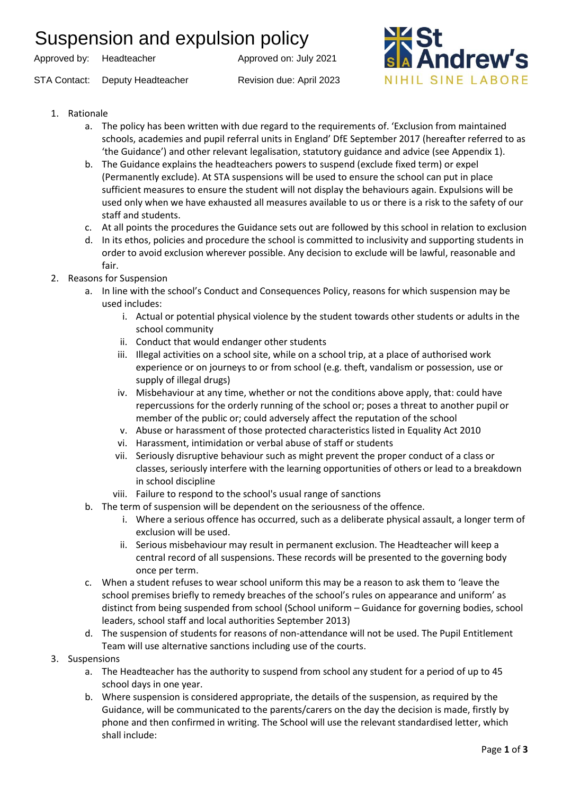## Suspension and expulsion policy

Approved by: Headteacher Approved on: July 2021

STA Contact: Deputy Headteacher Revision due: April 2023



- 1. Rationale
	- a. The policy has been written with due regard to the requirements of. 'Exclusion from maintained schools, academies and pupil referral units in England' DfE September 2017 (hereafter referred to as 'the Guidance') and other relevant legalisation, statutory guidance and advice (see Appendix 1).
	- b. The Guidance explains the headteachers powers to suspend (exclude fixed term) or expel (Permanently exclude). At STA suspensions will be used to ensure the school can put in place sufficient measures to ensure the student will not display the behaviours again. Expulsions will be used only when we have exhausted all measures available to us or there is a risk to the safety of our staff and students.
	- c. At all points the procedures the Guidance sets out are followed by this school in relation to exclusion
	- d. In its ethos, policies and procedure the school is committed to inclusivity and supporting students in order to avoid exclusion wherever possible. Any decision to exclude will be lawful, reasonable and fair.
- 2. Reasons for Suspension
	- a. In line with the school's Conduct and Consequences Policy, reasons for which suspension may be used includes:
		- i. Actual or potential physical violence by the student towards other students or adults in the school community
		- ii. Conduct that would endanger other students
		- iii. Illegal activities on a school site, while on a school trip, at a place of authorised work experience or on journeys to or from school (e.g. theft, vandalism or possession, use or supply of illegal drugs)
		- iv. Misbehaviour at any time, whether or not the conditions above apply, that: could have repercussions for the orderly running of the school or; poses a threat to another pupil or member of the public or; could adversely affect the reputation of the school
		- v. Abuse or harassment of those protected characteristics listed in Equality Act 2010
		- vi. Harassment, intimidation or verbal abuse of staff or students
		- vii. Seriously disruptive behaviour such as might prevent the proper conduct of a class or classes, seriously interfere with the learning opportunities of others or lead to a breakdown in school discipline
		- viii. Failure to respond to the school's usual range of sanctions
	- b. The term of suspension will be dependent on the seriousness of the offence.
		- i. Where a serious offence has occurred, such as a deliberate physical assault, a longer term of exclusion will be used.
		- ii. Serious misbehaviour may result in permanent exclusion. The Headteacher will keep a central record of all suspensions. These records will be presented to the governing body once per term.
	- c. When a student refuses to wear school uniform this may be a reason to ask them to 'leave the school premises briefly to remedy breaches of the school's rules on appearance and uniform' as distinct from being suspended from school (School uniform – Guidance for governing bodies, school leaders, school staff and local authorities September 2013)
	- d. The suspension of students for reasons of non-attendance will not be used. The Pupil Entitlement Team will use alternative sanctions including use of the courts.
- 3. Suspensions
	- a. The Headteacher has the authority to suspend from school any student for a period of up to 45 school days in one year.
	- b. Where suspension is considered appropriate, the details of the suspension, as required by the Guidance, will be communicated to the parents/carers on the day the decision is made, firstly by phone and then confirmed in writing. The School will use the relevant standardised letter, which shall include: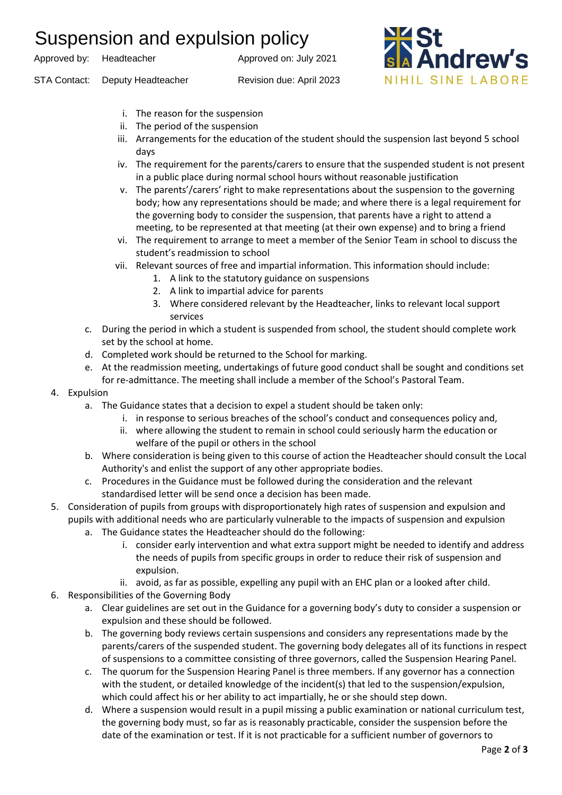## Suspension and expulsion policy

Approved by: Headteacher Approved on: July 2021





- i. The reason for the suspension
- ii. The period of the suspension
- iii. Arrangements for the education of the student should the suspension last beyond 5 school days
- iv. The requirement for the parents/carers to ensure that the suspended student is not present in a public place during normal school hours without reasonable justification
- v. The parents'/carers' right to make representations about the suspension to the governing body; how any representations should be made; and where there is a legal requirement for the governing body to consider the suspension, that parents have a right to attend a meeting, to be represented at that meeting (at their own expense) and to bring a friend
- vi. The requirement to arrange to meet a member of the Senior Team in school to discuss the student's readmission to school
- vii. Relevant sources of free and impartial information. This information should include:
	- 1. A link to the statutory guidance on suspensions
	- 2. A link to impartial advice for parents
	- 3. Where considered relevant by the Headteacher, links to relevant local support services
- c. During the period in which a student is suspended from school, the student should complete work set by the school at home.
- d. Completed work should be returned to the School for marking.
- e. At the readmission meeting, undertakings of future good conduct shall be sought and conditions set for re-admittance. The meeting shall include a member of the School's Pastoral Team.
- 4. Expulsion
	- a. The Guidance states that a decision to expel a student should be taken only:
		- i. in response to serious breaches of the school's conduct and consequences policy and,
		- ii. where allowing the student to remain in school could seriously harm the education or welfare of the pupil or others in the school
	- b. Where consideration is being given to this course of action the Headteacher should consult the Local Authority's and enlist the support of any other appropriate bodies.
	- c. Procedures in the Guidance must be followed during the consideration and the relevant standardised letter will be send once a decision has been made.
- 5. Consideration of pupils from groups with disproportionately high rates of suspension and expulsion and pupils with additional needs who are particularly vulnerable to the impacts of suspension and expulsion
	- a. The Guidance states the Headteacher should do the following:
		- i. consider early intervention and what extra support might be needed to identify and address the needs of pupils from specific groups in order to reduce their risk of suspension and expulsion.
		- ii. avoid, as far as possible, expelling any pupil with an EHC plan or a looked after child.
- 6. Responsibilities of the Governing Body
	- a. Clear guidelines are set out in the Guidance for a governing body's duty to consider a suspension or expulsion and these should be followed.
	- b. The governing body reviews certain suspensions and considers any representations made by the parents/carers of the suspended student. The governing body delegates all of its functions in respect of suspensions to a committee consisting of three governors, called the Suspension Hearing Panel.
	- c. The quorum for the Suspension Hearing Panel is three members. If any governor has a connection with the student, or detailed knowledge of the incident(s) that led to the suspension/expulsion, which could affect his or her ability to act impartially, he or she should step down.
	- d. Where a suspension would result in a pupil missing a public examination or national curriculum test, the governing body must, so far as is reasonably practicable, consider the suspension before the date of the examination or test. If it is not practicable for a sufficient number of governors to